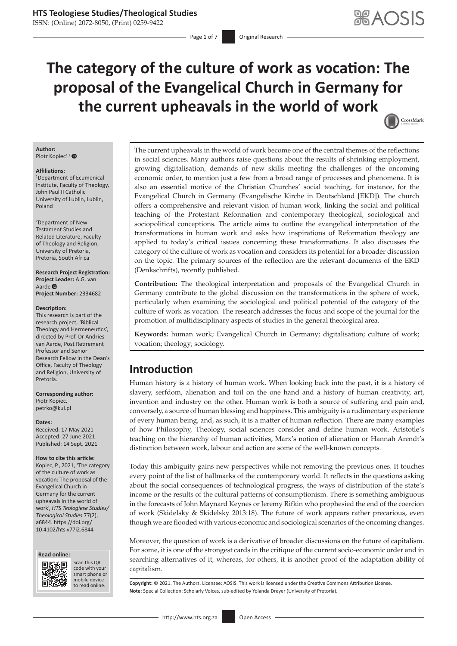ISSN: (Online) 2072-8050, (Print) 0259-9422

# **The category of the culture of work as vocation: The proposal of the Evangelical Church in Germany for the current upheavals in the world of work**

CrossMark

## **Author:**

Piotr Kopiec<sup>1,2</sup>

#### **Affiliations:**

1 Department of Ecumenical Institute, Faculty of Theology, John Paul II Catholic University of Lublin, Lublin, Poland

2 Department of New Testament Studies and Related Literature, Faculty of Theology and Religion, University of Pretoria, Pretoria, South Africa

#### **Research Project Registration: Project Leader:** A.G. van Aarde<sup>®</sup>

**Project Number:** 2334682

#### **Description:**

This research is part of the research project, 'Biblical Theology and Hermeneutics', directed by Prof. Dr Andries van Aarde, Post Retirement Professor and Senior Research Fellow in the Dean's Office, Faculty of Theology and Religion, University of Pretoria.

**Corresponding author:** Piotr Kopiec, [petrko@kul.pl](mailto:petrko@kul.pl)

#### **Dates:**

Received: 17 May 2021 Accepted: 27 June 2021 Published: 14 Sept. 2021

#### **How to cite this article:**

Kopiec, P., 2021, 'The category of the culture of work as vocation: The proposal of the Evangelical Church in Germany for the current upheavals in the world of work', *HTS Teologiese Studies/ Theological Studies* 77(2), a6844. [https://doi.org/](https://doi.org/10.4102/hts.v77i2.6844) [10.4102/hts.v77i2.6844](https://doi.org/10.4102/hts.v77i2.6844)





Scan this QR code with your Scan this QR<br>code with your<br>smart phone or<br>mobile device mobile device to read online.

The current upheavals in the world of work become one of the central themes of the reflections in social sciences. Many authors raise questions about the results of shrinking employment, growing digitalisation, demands of new skills meeting the challenges of the oncoming economic order, to mention just a few from a broad range of processes and phenomena. It is also an essential motive of the Christian Churches' social teaching, for instance, for the Evangelical Church in Germany (Evangelische Kirche in Deutschland [EKD]). The church offers a comprehensive and relevant vision of human work, linking the social and political teaching of the Protestant Reformation and contemporary theological, sociological and sociopolitical conceptions. The article aims to outline the evangelical interpretation of the transformations in human work and asks how inspirations of Reformation theology are applied to today's critical issues concerning these transformations. It also discusses the category of the culture of work as vocation and considers its potential for a broader discussion on the topic. The primary sources of the reflection are the relevant documents of the EKD (Denkschrifts), recently published.

**Contribution:** The theological interpretation and proposals of the Evangelical Church in Germany contribute to the global discussion on the transformations in the sphere of work, particularly when examining the sociological and political potential of the category of the culture of work as vocation. The research addresses the focus and scope of the journal for the promotion of multidisciplinary aspects of studies in the general theological area.

**Keywords:** human work; Evangelical Church in Germany; digitalisation; culture of work; vocation; theology; sociology.

# **Introduction**

Human history is a history of human work. When looking back into the past, it is a history of slavery, serfdom, alienation and toil on the one hand and a history of human creativity, art, invention and industry on the other. Human work is both a source of suffering and pain and, conversely, a source of human blessing and happiness. This ambiguity is a rudimentary experience of every human being, and, as such, it is a matter of human reflection. There are many examples of how Philosophy, Theology, social sciences consider and define human work. Aristotle's teaching on the hierarchy of human activities, Marx's notion of alienation or Hannah Arendt's distinction between work, labour and action are some of the well-known concepts.

Today this ambiguity gains new perspectives while not removing the previous ones. It touches every point of the list of hallmarks of the contemporary world. It reflects in the questions asking about the social consequences of technological progress, the ways of distribution of the state's income or the results of the cultural patterns of consumptionism. There is something ambiguous in the forecasts of John Maynard Keynes or Jeremy Rifkin who prophesied the end of the coercion of work (Skidelsky & Skidelsky 2013:18). The future of work appears rather precarious, even though we are flooded with various economic and sociological scenarios of the oncoming changes.

Moreover, the question of work is a derivative of broader discussions on the future of capitalism. For some, it is one of the strongest cards in the critique of the current socio-economic order and in searching alternatives of it, whereas, for others, it is another proof of the adaptation ability of capitalism.

Copyright: © 2021. The Authors. Licensee: AOSIS. This work is licensed under the Creative Commons Attribution License. **Note:** Special Collection: Scholarly Voices, sub-edited by Yolanda Dreyer (University of Pretoria).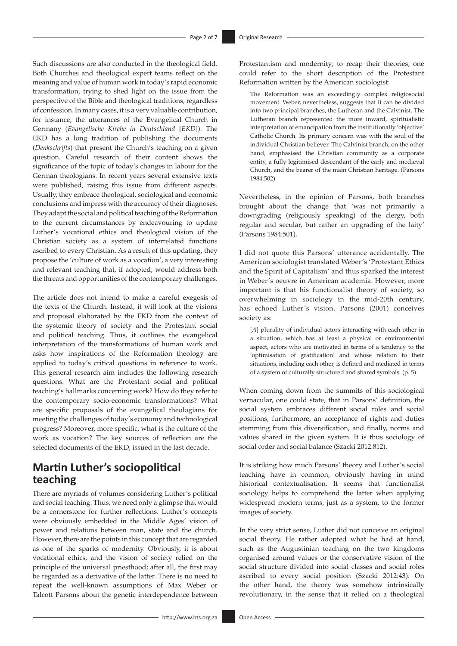Such discussions are also conducted in the theological field. Both Churches and theological expert teams reflect on the meaning and value of human work in today's rapid economic transformation, trying to shed light on the issue from the perspective of the Bible and theological traditions, regardless of confession. In many cases, it is a very valuable contribution, for instance, the utterances of the Evangelical Church in Germany (*Evangelische Kirche in Deutschland* [*EKD*]). The EKD has a long tradition of publishing the documents (*Denkschrifts*) that present the Church's teaching on a given question. Careful research of their content shows the significance of the topic of today's changes in labour for the German theologians. In recent years several extensive texts were published, raising this issue from different aspects. Usually, they embrace theological, sociological and economic conclusions and impress with the accuracy of their diagnoses. They adapt the social and political teaching of the Reformation to the current circumstances by endeavouring to update Luther's vocational ethics and theological vision of the Christian society as a system of interrelated functions ascribed to every Christian. As a result of this updating, they propose the 'culture of work as a vocation', a very interesting and relevant teaching that, if adopted, would address both the threats and opportunities of the contemporary challenges.

The article does not intend to make a careful exegesis of the texts of the Church. Instead, it will look at the visions and proposal elaborated by the EKD from the context of the systemic theory of society and the Protestant social and political teaching. Thus, it outlines the evangelical interpretation of the transformations of human work and asks how inspirations of the Reformation theology are applied to today's critical questions in reference to work. This general research aim includes the following research questions: What are the Protestant social and political teaching's hallmarks concerning work? How do they refer to the contemporary socio-economic transformations? What are specific proposals of the evangelical theologians for meeting the challenges of today's economy and technological progress? Moreover, more specific, what is the culture of the work as vocation? The key sources of reflection are the selected documents of the EKD, issued in the last decade.

# **Martin Luther's sociopolitical teaching**

There are myriads of volumes considering Luther's political and social teaching. Thus, we need only a glimpse that would be a cornerstone for further reflections. Luther's concepts were obviously embedded in the Middle Ages' vision of power and relations between man, state and the church. However, there are the points in this concept that are regarded as one of the sparks of modernity. Obviously, it is about vocational ethics, and the vision of society relied on the principle of the universal priesthood; after all, the first may be regarded as a derivative of the latter. There is no need to repeat the well-known assumptions of Max Weber or Talcott Parsons about the genetic interdependence between

Protestantism and modernity; to recap their theories, one could refer to the short description of the Protestant Reformation written by the American sociologist:

The Reformation was an exceedingly complex religiosocial movement. Weber, nevertheless, suggests that it can be divided into two principal branches, the Lutheran and the Calvinist. The Lutheran branch represented the more inward, spiritualistic interpretation of emancipation from the institutionally 'objective' Catholic Church. Its primary concern was with the soul of the individual Christian believer. The Calvinist branch, on the other hand, emphasised the Christian community as a corporate entity, a fully legitimised descendant of the early and medieval Church, and the bearer of the main Christian heritage. (Parsons 1984:502)

Nevertheless, in the opinion of Parsons, both branches brought about the change that 'was not primarily a downgrading (religiously speaking) of the clergy, both regular and secular, but rather an upgrading of the laity' (Parsons 1984:501).

I did not quote this Parsons' utterance accidentally. The American sociologist translated Weber's 'Protestant Ethics and the Spirit of Capitalism' and thus sparked the interest in Weber's oeuvre in American academia. However, more important is that his functionalist theory of society, so overwhelming in sociology in the mid-20th century, has echoed Luther's vision. Parsons (2001) conceives society as:

[*A*] plurality of individual actors interacting with each other in a situation, which has at least a physical or environmental aspect, actors who are motivated in terms of a tendency to the 'optimisation of gratification' and whose relation to their situations, including each other, is defined and mediated in terms of a system of culturally structured and shared symbols. (p. 5)

When coming down from the summits of this sociological vernacular, one could state, that in Parsons' definition, the social system embraces different social roles and social positions, furthermore, an acceptance of rights and duties stemming from this diversification, and finally, norms and values shared in the given system. It is thus sociology of social order and social balance (Szacki 2012:812).

It is striking how much Parsons' theory and Luther's social teaching have in common, obviously having in mind historical contextualisation. It seems that functionalist sociology helps to comprehend the latter when applying widespread modern terms, just as a system, to the former images of society.

In the very strict sense, Luther did not conceive an original social theory. He rather adopted what he had at hand, such as the Augustinian teaching on the two kingdoms organised around values or the conservative vision of the social structure divided into social classes and social roles ascribed to every social position (Szacki 2012:43). On the other hand, the theory was somehow intrinsically revolutionary, in the sense that it relied on a theological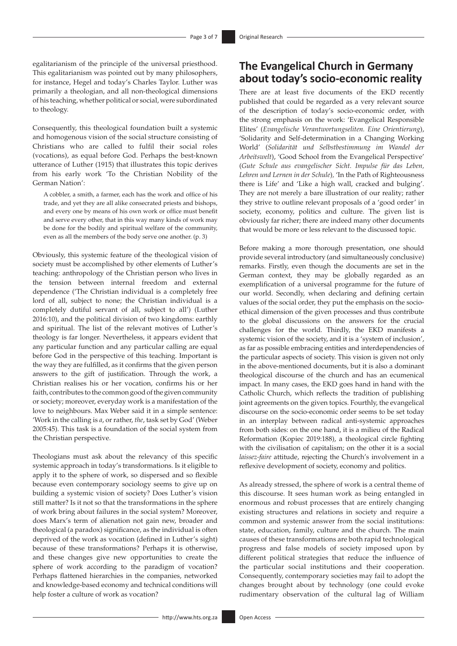egalitarianism of the principle of the universal priesthood. This egalitarianism was pointed out by many philosophers, for instance, Hegel and today's Charles Taylor. Luther was primarily a theologian, and all non-theological dimensions of his teaching, whether political or social, were subordinated to theology.

Consequently, this theological foundation built a systemic and homogenous vision of the social structure consisting of Christians who are called to fulfil their social roles (vocations), as equal before God. Perhaps the best-known utterance of Luther (1915) that illustrates this topic derives from his early work 'To the Christian Nobility of the German Nation':

A cobbler, a smith, a farmer, each has the work and office of his trade, and yet they are all alike consecrated priests and bishops, and every one by means of his own work or office must benefit and serve every other, that in this way many kinds of work may be done for the bodily and spiritual welfare of the community, even as all the members of the body serve one another. (p. 3)

Obviously, this systemic feature of the theological vision of society must be accomplished by other elements of Luther's teaching: anthropology of the Christian person who lives in the tension between internal freedom and external dependence ('The Christian individual is a completely free lord of all, subject to none; the Christian individual is a completely dutiful servant of all, subject to all') (Luther 2016:10), and the political division of two kingdoms: earthly and spiritual. The list of the relevant motives of Luther's theology is far longer. Nevertheless, it appears evident that any particular function and any particular calling are equal before God in the perspective of this teaching. Important is the way they are fulfilled, as it confirms that the given person answers to the gift of justification. Through the work, a Christian realises his or her vocation, confirms his or her faith, contributes to the common good of the given community or society; moreover, everyday work is a manifestation of the love to neighbours. Max Weber said it in a simple sentence: 'Work in the calling is *a*, or rather, *the*, task set by God' (Weber 2005:45). This task is a foundation of the social system from the Christian perspective.

Theologians must ask about the relevancy of this specific systemic approach in today's transformations. Is it eligible to apply it to the sphere of work, so dispersed and so flexible because even contemporary sociology seems to give up on building a systemic vision of society? Does Luther's vision still matter? Is it not so that the transformations in the sphere of work bring about failures in the social system? Moreover, does Marx's term of alienation not gain new, broader and theological (a paradox) significance, as the individual is often deprived of the work as vocation (defined in Luther's sight) because of these transformations? Perhaps it is otherwise, and these changes give new opportunities to create the sphere of work according to the paradigm of vocation? Perhaps flattened hierarchies in the companies, networked and knowledge-based economy and technical conditions will help foster a culture of work as vocation?

There are at least five documents of the EKD recently published that could be regarded as a very relevant source of the description of today's socio-economic order, with the strong emphasis on the work: 'Evangelical Responsible Elites' (*Evangelische Verantwortungseliten. Eine Orientierung*), 'Solidarity and Self-determination in a Changing Working World' (*Solidarität und Selbstbestimmung im Wandel der Arbeitswelt*), 'Good School from the Evangelical Perspective' (*Gute Schule aus evangelischer Sicht. Impulse für das Leben, Lehren und Lernen in der Schule*)*,* 'In the Path of Righteousness there is Life' and 'Like a high wall, cracked and bulging'. They are not merely a bare illustration of our reality; rather they strive to outline relevant proposals of a 'good order' in society, economy, politics and culture. The given list is obviously far richer; there are indeed many other documents that would be more or less relevant to the discussed topic.

Before making a more thorough presentation, one should provide several introductory (and simultaneously conclusive) remarks. Firstly, even though the documents are set in the German context, they may be globally regarded as an exemplification of a universal programme for the future of our world. Secondly, when declaring and defining certain values of the social order, they put the emphasis on the socioethical dimension of the given processes and thus contribute to the global discussions on the answers for the crucial challenges for the world. Thirdly, the EKD manifests a systemic vision of the society, and it is a 'system of inclusion', as far as possible embracing entities and interdependencies of the particular aspects of society. This vision is given not only in the above-mentioned documents, but it is also a dominant theological discourse of the church and has an ecumenical impact. In many cases, the EKD goes hand in hand with the Catholic Church, which reflects the tradition of publishing joint agreements on the given topics. Fourthly, the evangelical discourse on the socio-economic order seems to be set today in an interplay between radical anti-systemic approaches from both sides: on the one hand, it is a milieu of the Radical Reformation (Kopiec 2019:188), a theological circle fighting with the civilisation of capitalism; on the other it is a social *laissez-faire* attitude, rejecting the Church's involvement in a reflexive development of society, economy and politics.

As already stressed, the sphere of work is a central theme of this discourse. It sees human work as being entangled in enormous and robust processes that are entirely changing existing structures and relations in society and require a common and systemic answer from the social institutions: state, education, family, culture and the church. The main causes of these transformations are both rapid technological progress and false models of society imposed upon by different political strategies that reduce the influence of the particular social institutions and their cooperation. Consequently, contemporary societies may fail to adopt the changes brought about by technology (one could evoke rudimentary observation of the cultural lag of William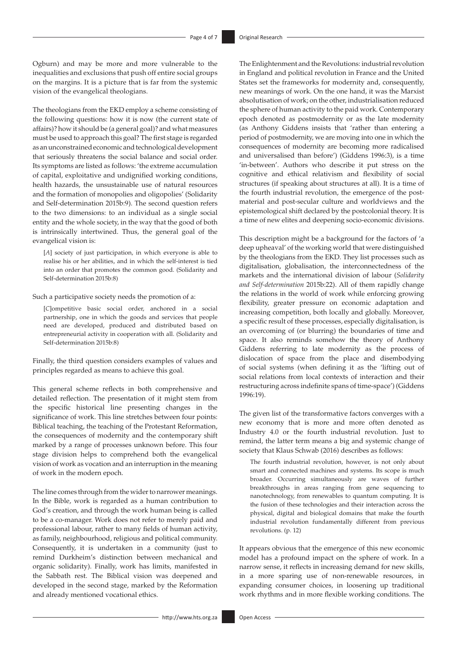Ogburn) and may be more and more vulnerable to the inequalities and exclusions that push off entire social groups on the margins. It is a picture that is far from the systemic vision of the evangelical theologians.

The theologians from the EKD employ a scheme consisting of the following questions: how it is now (the current state of affairs)? how it should be (a general goal)? and what measures must be used to approach this goal? The first stage is regarded as an unconstrained economic and technological development that seriously threatens the social balance and social order. Its symptoms are listed as follows: 'the extreme accumulation of capital, exploitative and undignified working conditions, health hazards, the unsustainable use of natural resources and the formation of monopolies and oligopolies' (Solidarity and Self-determination 2015b:9). The second question refers to the two dimensions: to an individual as a single social entity and the whole society, in the way that the good of both is intrinsically intertwined. Thus, the general goal of the evangelical vision is:

[*A*] society of just participation, in which everyone is able to realise his or her abilities, and in which the self-interest is tied into an order that promotes the common good. (Solidarity and Self-determination 2015b:8)

Such a participative society needs the promotion of a:

[*C*]ompetitive basic social order, anchored in a social partnership, one in which the goods and services that people need are developed, produced and distributed based on entrepreneurial activity in cooperation with all. (Solidarity and Self-determination 2015b:8)

Finally, the third question considers examples of values and principles regarded as means to achieve this goal.

This general scheme reflects in both comprehensive and detailed reflection. The presentation of it might stem from the specific historical line presenting changes in the significance of work. This line stretches between four points: Biblical teaching, the teaching of the Protestant Reformation, the consequences of modernity and the contemporary shift marked by a range of processes unknown before. This four stage division helps to comprehend both the evangelical vision of work as vocation and an interruption in the meaning of work in the modern epoch.

The line comes through from the wider to narrower meanings. In the Bible, work is regarded as a human contribution to God's creation, and through the work human being is called to be a co-manager. Work does not refer to merely paid and professional labour, rather to many fields of human activity, as family, neighbourhood, religious and political community. Consequently, it is undertaken in a community (just to remind Durkheim's distinction between mechanical and organic solidarity). Finally, work has limits, manifested in the Sabbath rest. The Biblical vision was deepened and developed in the second stage, marked by the Reformation and already mentioned vocational ethics.

The Enlightenment and the Revolutions: industrial revolution in England and political revolution in France and the United States set the frameworks for modernity and, consequently, new meanings of work. On the one hand, it was the Marxist absolutisation of work; on the other, industrialisation reduced the sphere of human activity to the paid work. Contemporary epoch denoted as postmodernity or as the late modernity (as Anthony Giddens insists that 'rather than entering a period of postmodernity, we are moving into one in which the consequences of modernity are becoming more radicalised and universalised than before') (Giddens 1996:3), is a time 'in-between'. Authors who describe it put stress on the cognitive and ethical relativism and flexibility of social structures (if speaking about structures at all). It is a time of the fourth industrial revolution, the emergence of the postmaterial and post-secular culture and worldviews and the epistemological shift declared by the postcolonial theory. It is a time of new elites and deepening socio-economic divisions.

This description might be a background for the factors of 'a deep upheaval' of the working world that were distinguished by the theologians from the EKD. They list processes such as digitalisation, globalisation, the interconnectedness of the markets and the international division of labour (*Solidarity and Self-determination* 2015b:22). All of them rapidly change the relations in the world of work while enforcing growing flexibility, greater pressure on economic adaptation and increasing competition, both locally and globally. Moreover, a specific result of these processes, especially digitalisation, is an overcoming of (or blurring) the boundaries of time and space. It also reminds somehow the theory of Anthony Giddens referring to late modernity as the process of dislocation of space from the place and disembodying of social systems (when defining it as the 'lifting out of social relations from local contexts of interaction and their restructuring across indefinite spans of time-space') (Giddens 1996:19).

The given list of the transformative factors converges with a new economy that is more and more often denoted as Industry 4.0 or the fourth industrial revolution. Just to remind, the latter term means a big and systemic change of society that Klaus Schwab (2016) describes as follows:

The fourth industrial revolution, however, is not only about smart and connected machines and systems. Its scope is much broader. Occurring simultaneously are waves of further breakthroughs in areas ranging from gene sequencing to nanotechnology, from renewables to quantum computing. It is the fusion of these technologies and their interaction across the physical, digital and biological domains that make the fourth industrial revolution fundamentally different from previous revolutions. (p. 12)

It appears obvious that the emergence of this new economic model has a profound impact on the sphere of work. In a narrow sense, it reflects in increasing demand for new skills, in a more sparing use of non-renewable resources, in expanding consumer choices, in loosening up traditional work rhythms and in more flexible working conditions. The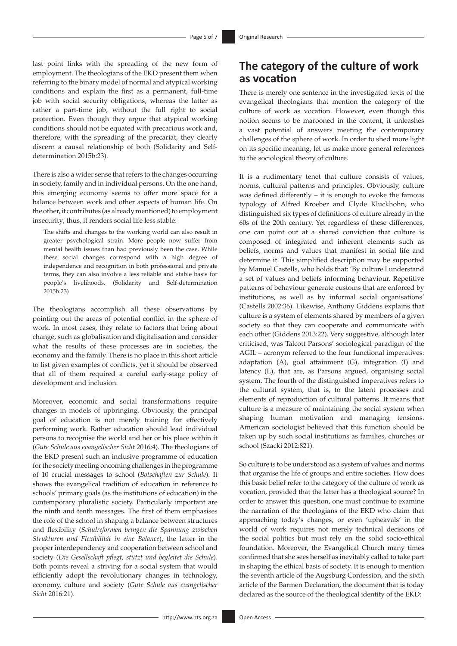last point links with the spreading of the new form of employment. The theologians of the EKD present them when referring to the binary model of normal and atypical working conditions and explain the first as a permanent, full-time job with social security obligations, whereas the latter as rather a part-time job, without the full right to social protection. Even though they argue that atypical working conditions should not be equated with precarious work and, therefore, with the spreading of the precariat, they clearly discern a causal relationship of both (Solidarity and Selfdetermination 2015b:23).

There is also a wider sense that refers to the changes occurring in society, family and in individual persons. On the one hand, this emerging economy seems to offer more space for a balance between work and other aspects of human life. On the other, it contributes (as already mentioned) to employment insecurity; thus, it renders social life less stable:

The shifts and changes to the working world can also result in greater psychological strain. More people now suffer from mental health issues than had previously been the case. While these social changes correspond with a high degree of independence and recognition in both professional and private terms, they can also involve a less reliable and stable basis for people's livelihoods. (Solidarity and Self-determination 2015b:23)

The theologians accomplish all these observations by pointing out the areas of potential conflict in the sphere of work. In most cases, they relate to factors that bring about change, such as globalisation and digitalisation and consider what the results of these processes are in societies, the economy and the family. There is no place in this short article to list given examples of conflicts, yet it should be observed that all of them required a careful early-stage policy of development and inclusion.

Moreover, economic and social transformations require changes in models of upbringing. Obviously, the principal goal of education is not merely training for effectively performing work. Rather education should lead individual persons to recognise the world and her or his place within it (*Gute Schule aus evangelischer Sicht* 2016:4). The theologians of the EKD present such an inclusive programme of education for the society meeting oncoming challenges in the programme of 10 crucial messages to school (*Botschaften zur Schule*). It shows the evangelical tradition of education in reference to schools' primary goals (as the institutions of education) in the contemporary pluralistic society. Particularly important are the ninth and tenth messages. The first of them emphasises the role of the school in shaping a balance between structures and flexibility (*Schulreformen bringen die Spannung zwischen Strukturen und Flexibilität in eine Balance*), the latter in the proper interdependency and cooperation between school and society (*Die Gesellschaft pflegt, stützt und begleitet die Schule*). Both points reveal a striving for a social system that would efficiently adopt the revolutionary changes in technology, economy, culture and society (*Gute Schule aus evangelischer Sicht* 2016:21).

# **The category of the culture of work as vocation**

There is merely one sentence in the investigated texts of the evangelical theologians that mention the category of the culture of work as vocation. However, even though this notion seems to be marooned in the content, it unleashes a vast potential of answers meeting the contemporary challenges of the sphere of work. In order to shed more light on its specific meaning, let us make more general references to the sociological theory of culture.

It is a rudimentary tenet that culture consists of values, norms, cultural patterns and principles. Obviously, culture was defined differently – it is enough to evoke the famous typology of Alfred Kroeber and Clyde Kluckhohn, who distinguished six types of definitions of culture already in the 60s of the 20th century. Yet regardless of these differences, one can point out at a shared conviction that culture is composed of integrated and inherent elements such as beliefs, norms and values that manifest in social life and determine it. This simplified description may be supported by Manuel Castells, who holds that: 'By culture I understand a set of values and beliefs informing behaviour. Repetitive patterns of behaviour generate customs that are enforced by institutions, as well as by informal social organisations' (Castells 2002:36). Likewise, Anthony Giddens explains that culture is a system of elements shared by members of a given society so that they can cooperate and communicate with each other (Giddens 2013:22). Very suggestive, although later criticised, was Talcott Parsons' sociological paradigm of the AGIL – acronym referred to the four functional imperatives: adaptation (A), goal attainment (G), integration (I) and latency (L), that are, as Parsons argued, organising social system. The fourth of the distinguished imperatives refers to the cultural system, that is, to the latent processes and elements of reproduction of cultural patterns. It means that culture is a measure of maintaining the social system when shaping human motivation and managing tensions. American sociologist believed that this function should be taken up by such social institutions as families, churches or school (Szacki 2012:821).

So culture is to be understood as a system of values and norms that organise the life of groups and entire societies. How does this basic belief refer to the category of the culture of work as vocation, provided that the latter has a theological source? In order to answer this question, one must continue to examine the narration of the theologians of the EKD who claim that approaching today's changes, or even 'upheavals' in the world of work requires not merely technical decisions of the social politics but must rely on the solid socio-ethical foundation. Moreover, the Evangelical Church many times confirmed that she sees herself as inevitably called to take part in shaping the ethical basis of society. It is enough to mention the seventh article of the Augsburg Confession, and the sixth article of the Barmen Declaration, the document that is today declared as the source of the theological identity of the EKD: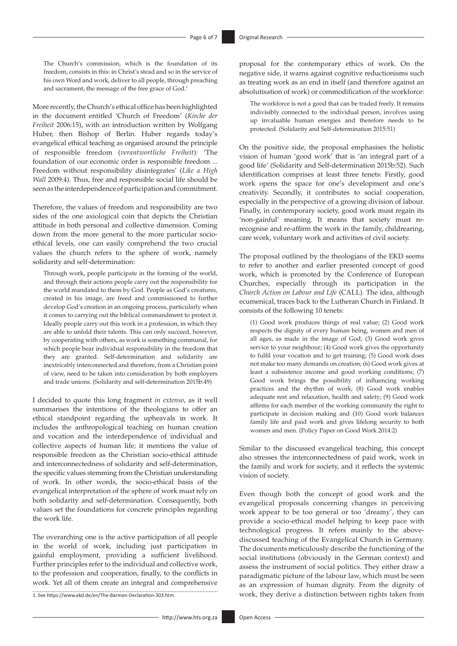The Church's commission, which is the foundation of its freedom, consists in this: in Christ's stead and so in the service of his own Word and work, deliver to all people, through preaching and sacrament, the message of the free grace of God.<sup>1</sup>

More recently, the Church's ethical office has been highlighted in the document entitled 'Church of Freedom' (*Kirche der Freiheit* 2006:15), with an introduction written by Wolfgang Huber, then Bishop of Berlin. Huber regards today's evangelical ethical teaching as organised around the principle of responsible freedom (*verantwortliche Freiheit*): 'The foundation of our economic order is responsible freedom ... Freedom without responsibility disintegrates' (*Like a High Wall* 2009:4). Thus, free and responsible social life should be seen as the interdependence of participation and commitment.

Therefore, the values of freedom and responsibility are two sides of the one axiological coin that depicts the Christian attitude in both personal and collective dimension. Coming down from the more general to the more particular socioethical levels, one can easily comprehend the two crucial values the church refers to the sphere of work, namely solidarity and self-determination:

Through work, people participate in the forming of the world, and through their actions people carry out the responsibility for the world mandated to them by God. People as God's creatures, created in his image, are freed and commissioned to further develop God's creation in an ongoing process, particularly when it comes to carrying out the biblical commandment to protect it. Ideally people carry out this work in a profession, in which they are able to unfold their talents. This can only succeed, however, by cooperating with others, as work is something communal, for which people bear individual responsibility in the freedom that they are granted. Self-determination and solidarity are inextricably interconnected and therefore, from a Christian point of view, need to be taken into consideration by both employers and trade unions. (Solidarity and self-determination 2015b:49)

I decided to quote this long fragment *in extenso*, as it well summarises the intentions of the theologians to offer an ethical standpoint regarding the upheavals in work. It includes the anthropological teaching on human creation and vocation and the interdependence of individual and collective aspects of human life; it mentions the value of responsible freedom as the Christian socio-ethical attitude and interconnectedness of solidarity and self-determination, the specific values stemming from the Christian understanding of work. In other words, the socio-ethical basis of the evangelical interpretation of the sphere of work must rely on both solidarity and self-determination. Consequently, both values set the foundations for concrete principles regarding the work life.

The overarching one is the active participation of all people in the world of work, including just participation in gainful employment, providing a sufficient livelihood. Further principles refer to the individual and collective work, to the profession and cooperation, finally, to the conflicts in work. Yet all of them create an integral and comprehensive 1. See [https://www.ekd.de/en/The-Barmen-Declaration-303.htm.](https://www.ekd.de/en/The-Barmen-Declaration-303.htm) proposal for the contemporary ethics of work. On the negative side, it warns against cognitive reductionisms such as treating work as an end in itself (and therefore against an absolutisation of work) or commodification of the workforce:

The workforce is not a good that can be traded freely. It remains indivisibly connected to the individual person, involves using up invaluable human energies and therefore needs to be protected. (Solidarity and Self-determination 2015:51)

On the positive side, the proposal emphasises the holistic vision of human 'good work' that is 'an integral part of a good life' (Solidarity and Self-determination 2015b:52). Such identification comprises at least three tenets: Firstly, good work opens the space for one's development and one's creativity. Secondly, it contributes to social cooperation, especially in the perspective of a growing division of labour. Finally, in contemporary society, good work must regain its 'non-gainful' meaning. It means that society must rerecognise and re-affirm the work in the family, childrearing, care work, voluntary work and activities of civil society.

The proposal outlined by the theologians of the EKD seems to refer to another and earlier presented concept of good work, which is promoted by the Conference of European Churches, especially through its participation in the *Church Action on Labour and Life* (CALL). The idea, although ecumenical, traces back to the Lutheran Church in Finland. It consists of the following 10 tenets:

(1) Good work produces things of real value; (2) Good work respects the dignity of every human being, women and men of all ages, as made in the image of God; (3) Good work gives service to your neighbour; (4) Good work gives the opportunity to fulfil your vocation and to get training; (5) Good work does not make too many demands on creation; (6) Good work gives at least a subsistence income and good working conditions; (7) Good work brings the possibility of influencing working practices and the rhythm of work; (8) Good work enables adequate rest and relaxation, health and safety; (9) Good work affirms for each member of the working community the right to participate in decision making and (10) Good work balances family life and paid work and gives lifelong security to both women and men. (Policy Paper on Good Work 2014:2)

Similar to the discussed evangelical teaching, this concept also stresses the interconnectedness of paid work, work in the family and work for society, and it reflects the systemic vision of society.

Even though both the concept of good work and the evangelical proposals concerning changes in perceiving work appear to be too general or too 'dreamy', they can provide a socio-ethical model helping to keep pace with technological progress. It refers mainly to the abovediscussed teaching of the Evangelical Church in Germany. The documents meticulously describe the functioning of the social institutions (obviously in the German context) and assess the instrument of social politics. They either draw a paradigmatic picture of the labour law, which must be seen as an expression of human dignity. From the dignity of work, they derive a distinction between rights taken from